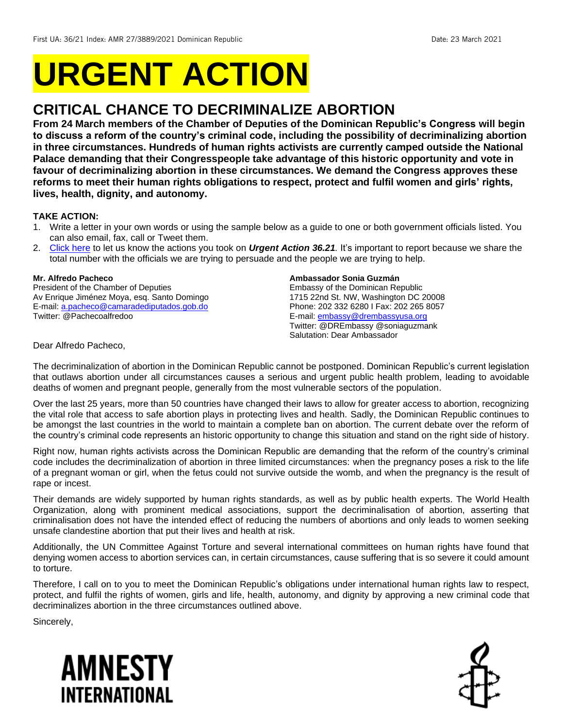# **URGENT ACTION**

## **CRITICAL CHANCE TO DECRIMINALIZE ABORTION**

**From 24 March members of the Chamber of Deputies of the Dominican Republic's Congress will begin to discuss a reform of the country's criminal code, including the possibility of decriminalizing abortion in three circumstances. Hundreds of human rights activists are currently camped outside the National Palace demanding that their Congresspeople take advantage of this historic opportunity and vote in favour of decriminalizing abortion in these circumstances. We demand the Congress approves these reforms to meet their human rights obligations to respect, protect and fulfil women and girls' rights, lives, health, dignity, and autonomy.**

#### **TAKE ACTION:**

- 1. Write a letter in your own words or using the sample below as a guide to one or both government officials listed. You can also email, fax, call or Tweet them.
- 2. [Click here](https://www.amnestyusa.org/report-urgent-actions/) to let us know the actions you took on *Urgent Action 36.21.* It's important to report because we share the total number with the officials we are trying to persuade and the people we are trying to help.

#### **Mr. Alfredo Pacheco**

President of the Chamber of Deputies Av Enrique Jiménez Moya, esq. Santo Domingo E-mail[: a.pacheco@camaradediputados.gob.do](mailto:a.pacheco@camaradediputados.gob.do) Twitter: @Pachecoalfredoo

#### **Ambassador Sonia Guzmán**

Embassy of the Dominican Republic 1715 22nd St. NW, Washington DC 20008 Phone: 202 332 6280 I Fax: 202 265 8057 E-mail[: embassy@drembassyusa.org](mailto:embassy@drembassyusa.org) Twitter: @DREmbassy @soniaguzmank Salutation: Dear Ambassador

Dear Alfredo Pacheco,

The decriminalization of abortion in the Dominican Republic cannot be postponed. Dominican Republic's current legislation that outlaws abortion under all circumstances causes a serious and urgent public health problem, leading to avoidable deaths of women and pregnant people, generally from the most vulnerable sectors of the population.

Over the last 25 years, more than 50 countries have changed their laws to allow for greater access to abortion, recognizing the vital role that access to safe abortion plays in protecting lives and health. Sadly, the Dominican Republic continues to be amongst the last countries in the world to maintain a complete ban on abortion. The current debate over the reform of the country's criminal code represents an historic opportunity to change this situation and stand on the right side of history.

Right now, human rights activists across the Dominican Republic are demanding that the reform of the country's criminal code includes the decriminalization of abortion in three limited circumstances: when the pregnancy poses a risk to the life of a pregnant woman or girl, when the fetus could not survive outside the womb, and when the pregnancy is the result of rape or incest.

Their demands are widely supported by human rights standards, as well as by public health experts. The World Health Organization, along with prominent medical associations, support the decriminalisation of abortion, asserting that criminalisation does not have the intended effect of reducing the numbers of abortions and only leads to women seeking unsafe clandestine abortion that put their lives and health at risk.

Additionally, the UN Committee Against Torture and several international committees on human rights have found that denying women access to abortion services can, in certain circumstances, cause suffering that is so severe it could amount to torture.

Therefore, I call on to you to meet the Dominican Republic's obligations under international human rights law to respect, protect, and fulfil the rights of women, girls and life, health, autonomy, and dignity by approving a new criminal code that decriminalizes abortion in the three circumstances outlined above.

Sincerely,